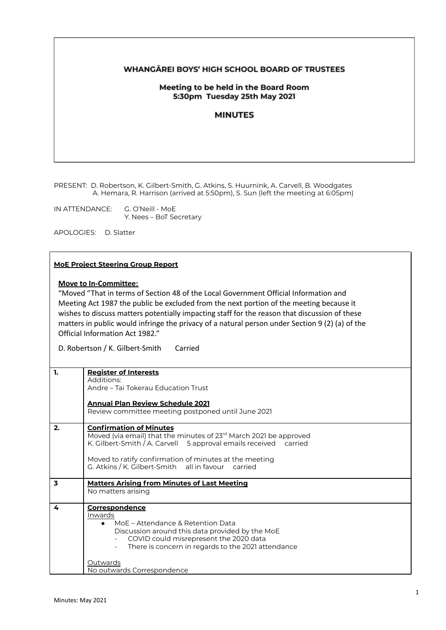## **WHANGAREI BOYS' HIGH SCHOOL BOARD OF TRUSTEES**

## Meeting to be held in the Board Room 5:30pm Tuesday 25th May 2021

### **MINUTES**

PRESENT: D. Robertson, K. Gilbert-Smith, G. Atkins, S. Huurnink, A. Carvell, B. Woodgates A. Hemara, R. Harrison (arrived at 5:50pm), S. Sun (left the meeting at 6:05pm)

IN ATTENDANCE: G. O'Neill - MoE Y. Nees – BoT Secretary

APOLOGIES: D. Slatter

#### **MoE Project Steering Group Report**

## **Move to In-Committee:**

"Moved "That in terms of Section 48 of the Local Government Official Information and Meeting Act 1987 the public be excluded from the next portion of the meeting because it wishes to discuss matters potentially impacting staff for the reason that discussion of these matters in public would infringe the privacy of a natural person under Section 9 (2) (a) of the Official Information Act 1982."

D. Robertson / K. Gilbert-Smith Carried

| 1.                      | <b>Register of Interests</b><br>Additions:<br>Andre – Tai Tokerau Education Trust<br><b>Annual Plan Review Schedule 2021</b>                                                                                                                                                                        |
|-------------------------|-----------------------------------------------------------------------------------------------------------------------------------------------------------------------------------------------------------------------------------------------------------------------------------------------------|
|                         | Review committee meeting postponed until June 2021                                                                                                                                                                                                                                                  |
| 2.                      | <b>Confirmation of Minutes</b><br>Moved (via email) that the minutes of 23 <sup>rd</sup> March 2021 be approved<br>K. Gilbert-Smith / A. Carvell 5 approval emails received carried<br>Moved to ratify confirmation of minutes at the meeting<br>G. Atkins / K. Gilbert-Smith all in favour carried |
| $\overline{\mathbf{3}}$ | <b>Matters Arising from Minutes of Last Meeting</b><br>No matters arising                                                                                                                                                                                                                           |
| 4                       | <b>Correspondence</b><br>Inwards<br>• MoE – Attendance & Retention Data<br>Discussion around this data provided by the MoE<br>COVID could misrepresent the 2020 data<br>There is concern in regards to the 2021 attendance                                                                          |
|                         | Outwards<br>No outwards Correspondence                                                                                                                                                                                                                                                              |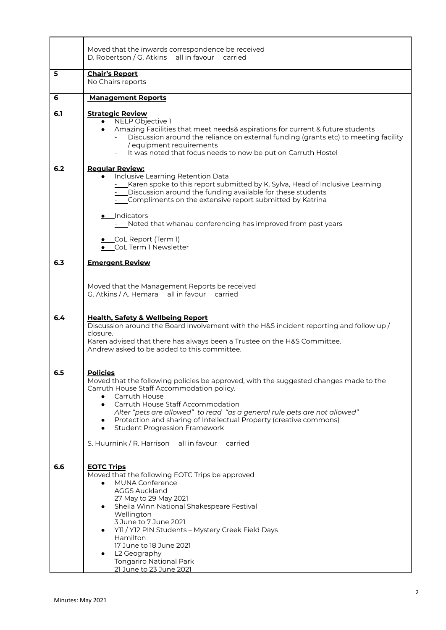|     | Moved that the inwards correspondence be received<br>D. Robertson / G. Atkins all in favour carried                                                                                                                                                                                                                                                                                                                                                                                 |  |  |  |
|-----|-------------------------------------------------------------------------------------------------------------------------------------------------------------------------------------------------------------------------------------------------------------------------------------------------------------------------------------------------------------------------------------------------------------------------------------------------------------------------------------|--|--|--|
| 5   | <b>Chair's Report</b><br>No Chairs reports                                                                                                                                                                                                                                                                                                                                                                                                                                          |  |  |  |
| 6   | <b>Management Reports</b>                                                                                                                                                                                                                                                                                                                                                                                                                                                           |  |  |  |
| 6.1 | <b>Strategic Review</b><br>NELP Objective 1<br>Amazing Facilities that meet needs& aspirations for current & future students<br>Discussion around the reliance on external funding (grants etc) to meeting facility<br>/ equipment requirements<br>It was noted that focus needs to now be put on Carruth Hostel                                                                                                                                                                    |  |  |  |
| 6.2 | <b>Regular Review:</b><br>· Inclusive Learning Retention Data<br>- Karen spoke to this report submitted by K. Sylva, Head of Inclusive Learning<br>- Discussion around the funding available for these students<br>- Compliments on the extensive report submitted by Katrina<br>• Indicators<br>- Noted that whanau conferencing has improved from past years<br>• CoL Report (Term 1)<br>• CoL Term 1 Newsletter                                                                  |  |  |  |
| 6.3 | <b>Emergent Review</b>                                                                                                                                                                                                                                                                                                                                                                                                                                                              |  |  |  |
| 6.4 | Moved that the Management Reports be received<br>G. Atkins / A. Hemara all in favour carried<br><b>Health, Safety &amp; Wellbeing Report</b><br>Discussion around the Board involvement with the H&S incident reporting and follow up /<br>closure.<br>Karen advised that there has always been a Trustee on the H&S Committee.<br>Andrew asked to be added to this committee.                                                                                                      |  |  |  |
| 6.5 | <b>Policies</b><br>Moved that the following policies be approved, with the suggested changes made to the<br>Carruth House Staff Accommodation policy.<br>Carruth House<br>Carruth House Staff Accommodation<br>Alter "pets are allowed" to read "as a general rule pets are not allowed"<br>Protection and sharing of Intellectual Property (creative commons)<br>$\bullet$<br><b>Student Progression Framework</b><br>$\bullet$<br>S. Huurnink / R. Harrison all in favour carried |  |  |  |
| 6.6 | <b>EOTC Trips</b><br>Moved that the following EOTC Trips be approved<br><b>MUNA Conference</b><br>$\bullet$<br><b>AGGS Auckland</b><br>27 May to 29 May 2021<br>Sheila Winn National Shakespeare Festival<br>Wellington<br>3 June to 7 June 2021<br>Y11 / Y12 PIN Students - Mystery Creek Field Days<br>Hamilton<br>17 June to 18 June 2021<br>L2 Geography<br>$\bullet$<br><b>Tongariro National Park</b><br>21 June to 23 June 2021                                              |  |  |  |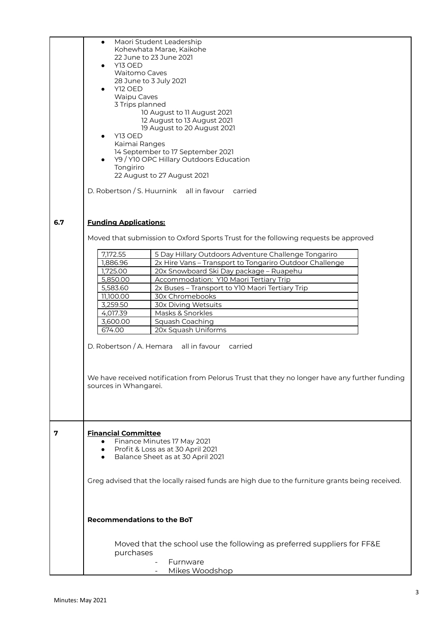| 6.7 | Maori Student Leadership<br>$\bullet$<br>Kohewhata Marae, Kaikohe<br>22 June to 23 June 2021<br>Y13 OED<br>$\bullet$<br><b>Waitomo Caves</b><br>28 June to 3 July 2021<br>Y12 OED<br><b>Waipu Caves</b><br>3 Trips planned<br>10 August to 11 August 2021<br>12 August to 13 August 2021<br>19 August to 20 August 2021<br>Y13 OED<br>Kaimai Ranges<br>14 September to 17 September 2021<br>Y9 / Y10 OPC Hillary Outdoors Education<br>Tongiriro<br>22 August to 27 August 2021<br>D. Robertson / S. Huurnink all in favour<br>carried<br><b>Funding Applications:</b> |                                                                                                    |  |
|-----|------------------------------------------------------------------------------------------------------------------------------------------------------------------------------------------------------------------------------------------------------------------------------------------------------------------------------------------------------------------------------------------------------------------------------------------------------------------------------------------------------------------------------------------------------------------------|----------------------------------------------------------------------------------------------------|--|
|     |                                                                                                                                                                                                                                                                                                                                                                                                                                                                                                                                                                        | Moved that submission to Oxford Sports Trust for the following requests be approved                |  |
|     |                                                                                                                                                                                                                                                                                                                                                                                                                                                                                                                                                                        |                                                                                                    |  |
|     | 7,172.55                                                                                                                                                                                                                                                                                                                                                                                                                                                                                                                                                               | 5 Day Hillary Outdoors Adventure Challenge Tongariro                                               |  |
|     | 1,886.96<br>1,725.00                                                                                                                                                                                                                                                                                                                                                                                                                                                                                                                                                   | 2x Hire Vans - Transport to Tongariro Outdoor Challenge<br>20x Snowboard Ski Day package - Ruapehu |  |
|     | 5,850.00                                                                                                                                                                                                                                                                                                                                                                                                                                                                                                                                                               | Accommodation: Y10 Maori Tertiary Trip                                                             |  |
|     | 5,583.60                                                                                                                                                                                                                                                                                                                                                                                                                                                                                                                                                               | 2x Buses - Transport to Y10 Maori Tertiary Trip                                                    |  |
|     | 11,100.00                                                                                                                                                                                                                                                                                                                                                                                                                                                                                                                                                              | 30x Chromebooks                                                                                    |  |
|     | 3,259.50                                                                                                                                                                                                                                                                                                                                                                                                                                                                                                                                                               | <b>30x Diving Wetsuits</b>                                                                         |  |
|     | 4,017.39                                                                                                                                                                                                                                                                                                                                                                                                                                                                                                                                                               | Masks & Snorkles                                                                                   |  |
|     | 3,600.00                                                                                                                                                                                                                                                                                                                                                                                                                                                                                                                                                               | Squash Coaching                                                                                    |  |
|     | 674.00                                                                                                                                                                                                                                                                                                                                                                                                                                                                                                                                                                 | 20x Squash Uniforms                                                                                |  |
|     |                                                                                                                                                                                                                                                                                                                                                                                                                                                                                                                                                                        | D. Robertson / A. Hemara all in favour carried                                                     |  |
|     |                                                                                                                                                                                                                                                                                                                                                                                                                                                                                                                                                                        |                                                                                                    |  |
|     |                                                                                                                                                                                                                                                                                                                                                                                                                                                                                                                                                                        | We have received notification from Pelorus Trust that they no longer have any further funding      |  |
|     | sources in Whangarei.                                                                                                                                                                                                                                                                                                                                                                                                                                                                                                                                                  |                                                                                                    |  |
|     |                                                                                                                                                                                                                                                                                                                                                                                                                                                                                                                                                                        |                                                                                                    |  |
|     |                                                                                                                                                                                                                                                                                                                                                                                                                                                                                                                                                                        |                                                                                                    |  |
|     |                                                                                                                                                                                                                                                                                                                                                                                                                                                                                                                                                                        |                                                                                                    |  |
| 7   | <b>Financial Committee</b>                                                                                                                                                                                                                                                                                                                                                                                                                                                                                                                                             |                                                                                                    |  |
|     |                                                                                                                                                                                                                                                                                                                                                                                                                                                                                                                                                                        | Finance Minutes 17 May 2021                                                                        |  |
|     | $\bullet$                                                                                                                                                                                                                                                                                                                                                                                                                                                                                                                                                              | Profit & Loss as at 30 April 2021                                                                  |  |
|     | $\bullet$                                                                                                                                                                                                                                                                                                                                                                                                                                                                                                                                                              | Balance Sheet as at 30 April 2021                                                                  |  |
|     |                                                                                                                                                                                                                                                                                                                                                                                                                                                                                                                                                                        |                                                                                                    |  |
|     |                                                                                                                                                                                                                                                                                                                                                                                                                                                                                                                                                                        | Greg advised that the locally raised funds are high due to the furniture grants being received.    |  |
|     |                                                                                                                                                                                                                                                                                                                                                                                                                                                                                                                                                                        |                                                                                                    |  |
|     |                                                                                                                                                                                                                                                                                                                                                                                                                                                                                                                                                                        |                                                                                                    |  |
|     |                                                                                                                                                                                                                                                                                                                                                                                                                                                                                                                                                                        |                                                                                                    |  |
|     | <b>Recommendations to the BoT</b>                                                                                                                                                                                                                                                                                                                                                                                                                                                                                                                                      |                                                                                                    |  |
|     |                                                                                                                                                                                                                                                                                                                                                                                                                                                                                                                                                                        |                                                                                                    |  |
|     |                                                                                                                                                                                                                                                                                                                                                                                                                                                                                                                                                                        |                                                                                                    |  |
|     |                                                                                                                                                                                                                                                                                                                                                                                                                                                                                                                                                                        | Moved that the school use the following as preferred suppliers for FF&E                            |  |
|     | purchases                                                                                                                                                                                                                                                                                                                                                                                                                                                                                                                                                              | Furnware                                                                                           |  |
|     |                                                                                                                                                                                                                                                                                                                                                                                                                                                                                                                                                                        | Mikes Woodshop                                                                                     |  |